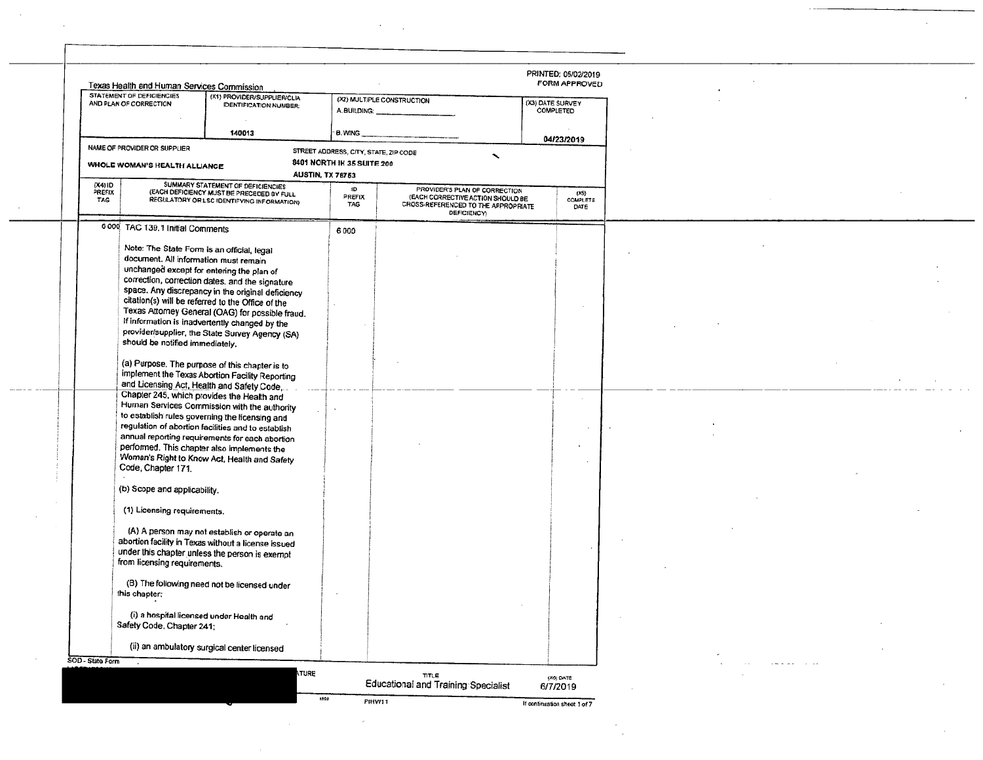|                  | Texas Health and Human Services Commission                                                                                       |                                                                                                                                                                                                                                                         |                                       |                                                                                                                                 | PRINTED: 05/02/2019<br><b>FORM APPROVED</b> |  |                |  |
|------------------|----------------------------------------------------------------------------------------------------------------------------------|---------------------------------------------------------------------------------------------------------------------------------------------------------------------------------------------------------------------------------------------------------|---------------------------------------|---------------------------------------------------------------------------------------------------------------------------------|---------------------------------------------|--|----------------|--|
|                  | <b>STATEMENT OF DEFICIENCIES</b><br>AND PLAN OF CORRECTION                                                                       | (X1) PROVIDER/SUPPLIER/CLIA<br><b>IDENTIFICATION NUMBER:</b>                                                                                                                                                                                            | A. BUILDING: _                        | (X2) MULTIPLE CONSTRUCTION                                                                                                      | (X3) DATE SURVEY<br>COMPLETED               |  |                |  |
|                  |                                                                                                                                  | 140013                                                                                                                                                                                                                                                  | <b>B. WING</b>                        |                                                                                                                                 |                                             |  |                |  |
|                  | NAME OF PROVIDER OR SUPPLIER                                                                                                     |                                                                                                                                                                                                                                                         | STREET ADDRESS, CITY, STATE, ZIP CODE |                                                                                                                                 | 04/23/2019                                  |  |                |  |
|                  | WHOLE WOMAN'S HEALTH ALLIANCE                                                                                                    |                                                                                                                                                                                                                                                         | 8401 NORTH IH 35 SUITE 200            | $\checkmark$                                                                                                                    |                                             |  |                |  |
| (X4) ID          |                                                                                                                                  | SUMMARY STATEMENT OF DEFICIENCIES                                                                                                                                                                                                                       | <b>AUSTIN, TX 76753</b>               |                                                                                                                                 |                                             |  |                |  |
| PREFIX<br>TAG    |                                                                                                                                  | (EACH DEFICIENCY MUST BE PRECEDED BY FULL<br>REGULATORY OR LSC IDENTIFYING INFORMATION)                                                                                                                                                                 | 1D<br>PREFIX<br>TAG                   | PROVIDER'S PLAN OF CORRECTION<br>(EACH CORRECTIVE ACTION SHOULD BE<br>CROSS-REFERENCED TO THE APPROPRIATE<br><b>DEFICIENCY)</b> | (15)<br>COMPLETE<br>DATE                    |  |                |  |
|                  | 6 000 TAC 139.1 Initial Comments                                                                                                 |                                                                                                                                                                                                                                                         | 6000                                  |                                                                                                                                 |                                             |  |                |  |
|                  | Note: The State Form is an official, legal<br>document. All information must remain<br>unchanged except for entering the plan of |                                                                                                                                                                                                                                                         |                                       |                                                                                                                                 |                                             |  |                |  |
|                  |                                                                                                                                  | correction, correction dates, and the signature<br>space. Any discrepancy in the original deficiency<br>citation(s) will be referred to the Office of the                                                                                               |                                       |                                                                                                                                 |                                             |  |                |  |
|                  |                                                                                                                                  | Texas Attorney General (OAG) for possible fraud.                                                                                                                                                                                                        |                                       |                                                                                                                                 |                                             |  |                |  |
|                  | should be notified immediately.                                                                                                  | If information is inadvertently changed by the<br>provider/supplier, the State Survey Agency (SA)                                                                                                                                                       |                                       |                                                                                                                                 |                                             |  |                |  |
|                  | and Licensing Act, Health and Safety Code,                                                                                       | (a) Purpose. The purpose of this chapter is to<br>implement the Texas Abortion Facility Reporting                                                                                                                                                       |                                       |                                                                                                                                 |                                             |  |                |  |
|                  | Chapter 245, which provides the Health and<br>performed. This chapter also implements the<br>Code, Chapter 171.                  | Human Services Commission with the authority<br>to establish rules governing the licensing and<br>regulation of abortion facilities and to establish<br>annual reporting requirements for each abortion<br>Woman's Right to Know Act, Health and Safety |                                       |                                                                                                                                 |                                             |  |                |  |
|                  | (b) Scope and applicability.                                                                                                     |                                                                                                                                                                                                                                                         |                                       |                                                                                                                                 |                                             |  |                |  |
|                  | (1) Licensing requirements.<br>from licensing requirements.                                                                      | (A) A person may not establish or operate an<br>abortion facility in Texas without a license issued<br>under this chapter unless the person is exempt                                                                                                   |                                       |                                                                                                                                 |                                             |  |                |  |
|                  | this chapter;                                                                                                                    | (B) The following need not be licensed under                                                                                                                                                                                                            |                                       |                                                                                                                                 |                                             |  |                |  |
|                  | (i) a hospital licensed under Health and<br>Safety Code, Chapter 241;                                                            |                                                                                                                                                                                                                                                         |                                       |                                                                                                                                 |                                             |  |                |  |
|                  |                                                                                                                                  | (ii) an ambulatory surgical center licensed                                                                                                                                                                                                             |                                       |                                                                                                                                 |                                             |  |                |  |
| SOD - State Form | $\sim$                                                                                                                           |                                                                                                                                                                                                                                                         |                                       |                                                                                                                                 |                                             |  | comment of the |  |
|                  |                                                                                                                                  | <b>ITURE</b>                                                                                                                                                                                                                                            | 8809                                  | TITLE<br>Educational and Training Specialist                                                                                    | (X6) DATE<br>6/7/2019                       |  |                |  |
|                  |                                                                                                                                  |                                                                                                                                                                                                                                                         |                                       | PIHW11                                                                                                                          | If continuation sheet 1 of 7                |  |                |  |

 $\sim$ 

 $\sim 10^7$ 

 $\sim 10^{-11}$ 

 $\mathcal{L}^{\mathcal{L}}(\mathcal{L}^{\mathcal{L}})$  .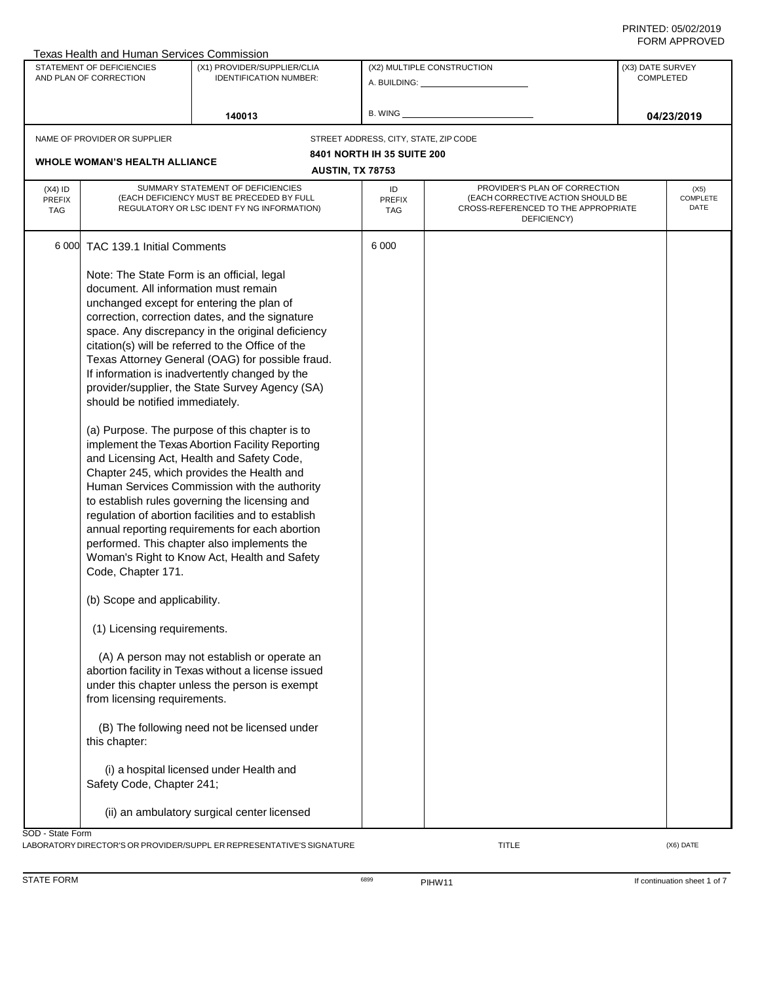|                             | Texas Health and Human Services Commission   |                                                                                         |                                       |                                                                          |                  |                         |  |  |  |
|-----------------------------|----------------------------------------------|-----------------------------------------------------------------------------------------|---------------------------------------|--------------------------------------------------------------------------|------------------|-------------------------|--|--|--|
|                             | STATEMENT OF DEFICIENCIES                    | (X1) PROVIDER/SUPPLIER/CLIA                                                             |                                       | (X2) MULTIPLE CONSTRUCTION                                               | (X3) DATE SURVEY |                         |  |  |  |
|                             | AND PLAN OF CORRECTION                       | <b>IDENTIFICATION NUMBER:</b>                                                           |                                       | A. BUILDING: _________________                                           | <b>COMPLETED</b> |                         |  |  |  |
|                             |                                              |                                                                                         |                                       |                                                                          |                  |                         |  |  |  |
|                             |                                              |                                                                                         | B. WING                               |                                                                          |                  |                         |  |  |  |
|                             |                                              | 140013                                                                                  |                                       |                                                                          |                  | 04/23/2019              |  |  |  |
|                             | NAME OF PROVIDER OR SUPPLIER                 |                                                                                         | STREET ADDRESS, CITY, STATE, ZIP CODE |                                                                          |                  |                         |  |  |  |
|                             |                                              |                                                                                         | 8401 NORTH IH 35 SUITE 200            |                                                                          |                  |                         |  |  |  |
|                             | <b>WHOLE WOMAN'S HEALTH ALLIANCE</b>         |                                                                                         |                                       |                                                                          |                  |                         |  |  |  |
|                             |                                              |                                                                                         | <b>AUSTIN, TX 78753</b>               |                                                                          |                  |                         |  |  |  |
| $(X4)$ ID                   |                                              | SUMMARY STATEMENT OF DEFICIENCIES                                                       | ID                                    | PROVIDER'S PLAN OF CORRECTION                                            |                  | (X5)                    |  |  |  |
| <b>PREFIX</b><br><b>TAG</b> |                                              | (EACH DEFICIENCY MUST BE PRECEDED BY FULL<br>REGULATORY OR LSC IDENT FY NG INFORMATION) | PREFIX<br>TAG                         | (EACH CORRECTIVE ACTION SHOULD BE<br>CROSS-REFERENCED TO THE APPROPRIATE |                  | <b>COMPLETE</b><br>DATE |  |  |  |
|                             |                                              |                                                                                         |                                       | DEFICIENCY)                                                              |                  |                         |  |  |  |
|                             |                                              |                                                                                         |                                       |                                                                          |                  |                         |  |  |  |
|                             | 6 000 TAC 139.1 Initial Comments             |                                                                                         | 6 0 0 0                               |                                                                          |                  |                         |  |  |  |
|                             |                                              |                                                                                         |                                       |                                                                          |                  |                         |  |  |  |
|                             | Note: The State Form is an official, legal   |                                                                                         |                                       |                                                                          |                  |                         |  |  |  |
|                             | document. All information must remain        |                                                                                         |                                       |                                                                          |                  |                         |  |  |  |
|                             |                                              | unchanged except for entering the plan of                                               |                                       |                                                                          |                  |                         |  |  |  |
|                             |                                              | correction, correction dates, and the signature                                         |                                       |                                                                          |                  |                         |  |  |  |
|                             |                                              | space. Any discrepancy in the original deficiency                                       |                                       |                                                                          |                  |                         |  |  |  |
|                             |                                              | citation(s) will be referred to the Office of the                                       |                                       |                                                                          |                  |                         |  |  |  |
|                             |                                              | Texas Attorney General (OAG) for possible fraud.                                        |                                       |                                                                          |                  |                         |  |  |  |
|                             |                                              | If information is inadvertently changed by the                                          |                                       |                                                                          |                  |                         |  |  |  |
|                             |                                              | provider/supplier, the State Survey Agency (SA)                                         |                                       |                                                                          |                  |                         |  |  |  |
|                             |                                              |                                                                                         |                                       |                                                                          |                  |                         |  |  |  |
|                             | should be notified immediately.              |                                                                                         |                                       |                                                                          |                  |                         |  |  |  |
|                             |                                              |                                                                                         |                                       |                                                                          |                  |                         |  |  |  |
|                             |                                              | (a) Purpose. The purpose of this chapter is to                                          |                                       |                                                                          |                  |                         |  |  |  |
|                             |                                              | implement the Texas Abortion Facility Reporting                                         |                                       |                                                                          |                  |                         |  |  |  |
|                             |                                              | and Licensing Act, Health and Safety Code,                                              |                                       |                                                                          |                  |                         |  |  |  |
|                             |                                              | Chapter 245, which provides the Health and                                              |                                       |                                                                          |                  |                         |  |  |  |
|                             |                                              | Human Services Commission with the authority                                            |                                       |                                                                          |                  |                         |  |  |  |
|                             |                                              | to establish rules governing the licensing and                                          |                                       |                                                                          |                  |                         |  |  |  |
|                             |                                              | regulation of abortion facilities and to establish                                      |                                       |                                                                          |                  |                         |  |  |  |
|                             |                                              | annual reporting requirements for each abortion                                         |                                       |                                                                          |                  |                         |  |  |  |
|                             |                                              | performed. This chapter also implements the                                             |                                       |                                                                          |                  |                         |  |  |  |
|                             |                                              | Woman's Right to Know Act, Health and Safety                                            |                                       |                                                                          |                  |                         |  |  |  |
|                             | Code, Chapter 171.                           |                                                                                         |                                       |                                                                          |                  |                         |  |  |  |
|                             |                                              |                                                                                         |                                       |                                                                          |                  |                         |  |  |  |
|                             | (b) Scope and applicability.                 |                                                                                         |                                       |                                                                          |                  |                         |  |  |  |
|                             |                                              |                                                                                         |                                       |                                                                          |                  |                         |  |  |  |
|                             | (1) Licensing requirements.                  |                                                                                         |                                       |                                                                          |                  |                         |  |  |  |
|                             |                                              |                                                                                         |                                       |                                                                          |                  |                         |  |  |  |
|                             |                                              | (A) A person may not establish or operate an                                            |                                       |                                                                          |                  |                         |  |  |  |
|                             |                                              | abortion facility in Texas without a license issued                                     |                                       |                                                                          |                  |                         |  |  |  |
|                             |                                              | under this chapter unless the person is exempt                                          |                                       |                                                                          |                  |                         |  |  |  |
|                             | from licensing requirements.                 |                                                                                         |                                       |                                                                          |                  |                         |  |  |  |
|                             |                                              |                                                                                         |                                       |                                                                          |                  |                         |  |  |  |
|                             |                                              |                                                                                         |                                       |                                                                          |                  |                         |  |  |  |
|                             | (B) The following need not be licensed under |                                                                                         |                                       |                                                                          |                  |                         |  |  |  |
|                             | this chapter:                                |                                                                                         |                                       |                                                                          |                  |                         |  |  |  |
|                             |                                              |                                                                                         |                                       |                                                                          |                  |                         |  |  |  |
|                             |                                              | (i) a hospital licensed under Health and                                                |                                       |                                                                          |                  |                         |  |  |  |
|                             | Safety Code, Chapter 241;                    |                                                                                         |                                       |                                                                          |                  |                         |  |  |  |
|                             |                                              |                                                                                         |                                       |                                                                          |                  |                         |  |  |  |
|                             |                                              | (ii) an ambulatory surgical center licensed                                             |                                       |                                                                          |                  |                         |  |  |  |
| SOD - State Form            |                                              |                                                                                         |                                       |                                                                          |                  |                         |  |  |  |
|                             |                                              | LABORATORY DIRECTOR'S OR PROVIDER/SUPPL ER REPRESENTATIVE'S SIGNATURE                   |                                       | <b>TITLE</b>                                                             |                  | (X6) DATE               |  |  |  |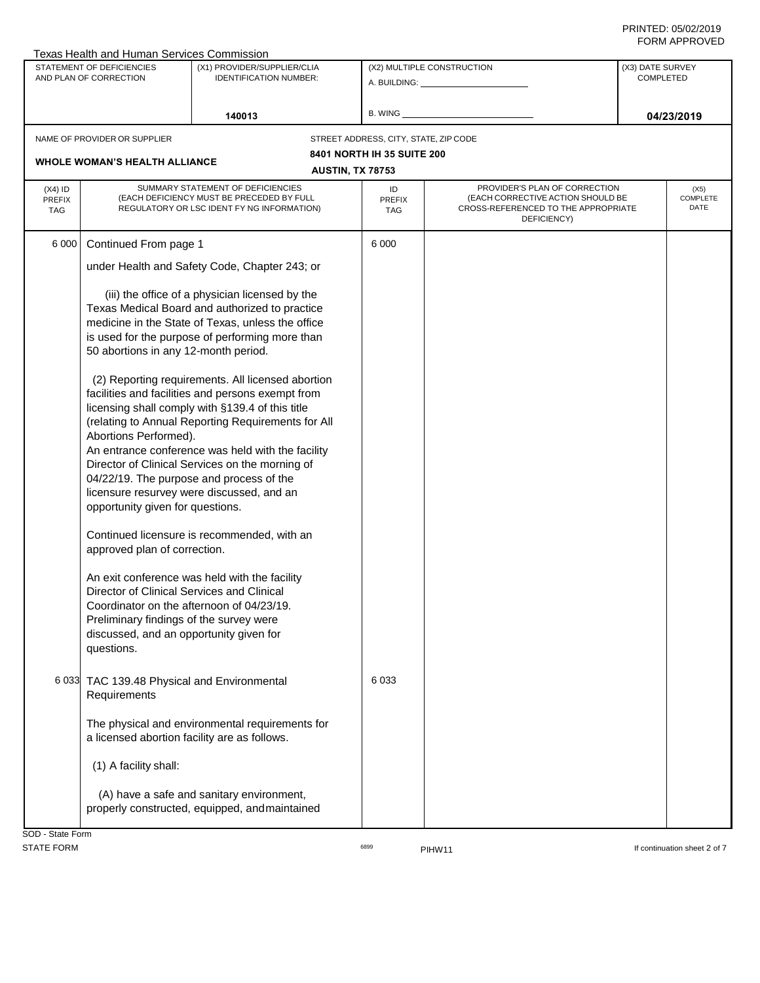| Texas Health and Human Services Commission<br>STATEMENT OF DEFICIENCIES<br>AND PLAN OF CORRECTION |                                                                                                                                                                                | (X1) PROVIDER/SUPPLIER/CLIA<br><b>IDENTIFICATION NUMBER:</b>                                                                                                                                                                                                                                                                                                                                                      |                                                                     | (X2) MULTIPLE CONSTRUCTION<br>A. BUILDING: A. BUILDING:                                                                  |  |                          |
|---------------------------------------------------------------------------------------------------|--------------------------------------------------------------------------------------------------------------------------------------------------------------------------------|-------------------------------------------------------------------------------------------------------------------------------------------------------------------------------------------------------------------------------------------------------------------------------------------------------------------------------------------------------------------------------------------------------------------|---------------------------------------------------------------------|--------------------------------------------------------------------------------------------------------------------------|--|--------------------------|
|                                                                                                   |                                                                                                                                                                                | 140013                                                                                                                                                                                                                                                                                                                                                                                                            | B. WING                                                             |                                                                                                                          |  | 04/23/2019               |
|                                                                                                   | NAME OF PROVIDER OR SUPPLIER<br><b>WHOLE WOMAN'S HEALTH ALLIANCE</b>                                                                                                           |                                                                                                                                                                                                                                                                                                                                                                                                                   | STREET ADDRESS, CITY, STATE, ZIP CODE<br>8401 NORTH IH 35 SUITE 200 |                                                                                                                          |  |                          |
|                                                                                                   |                                                                                                                                                                                |                                                                                                                                                                                                                                                                                                                                                                                                                   | <b>AUSTIN, TX 78753</b>                                             |                                                                                                                          |  |                          |
| $(X4)$ ID<br>PREFIX<br><b>TAG</b>                                                                 |                                                                                                                                                                                | SUMMARY STATEMENT OF DEFICIENCIES<br>(EACH DEFICIENCY MUST BE PRECEDED BY FULL<br>REGULATORY OR LSC IDENT FY NG INFORMATION)                                                                                                                                                                                                                                                                                      | ID<br><b>PREFIX</b><br><b>TAG</b>                                   | PROVIDER'S PLAN OF CORRECTION<br>(EACH CORRECTIVE ACTION SHOULD BE<br>CROSS-REFERENCED TO THE APPROPRIATE<br>DEFICIENCY) |  | (X5)<br>COMPLETE<br>DATE |
| 6 0 0 0                                                                                           | Continued From page 1                                                                                                                                                          |                                                                                                                                                                                                                                                                                                                                                                                                                   | 6 0 0 0                                                             |                                                                                                                          |  |                          |
|                                                                                                   |                                                                                                                                                                                | under Health and Safety Code, Chapter 243; or                                                                                                                                                                                                                                                                                                                                                                     |                                                                     |                                                                                                                          |  |                          |
|                                                                                                   | 50 abortions in any 12-month period.                                                                                                                                           | (iii) the office of a physician licensed by the<br>Texas Medical Board and authorized to practice<br>medicine in the State of Texas, unless the office<br>is used for the purpose of performing more than                                                                                                                                                                                                         |                                                                     |                                                                                                                          |  |                          |
|                                                                                                   | Abortions Performed).<br>opportunity given for questions.                                                                                                                      | (2) Reporting requirements. All licensed abortion<br>facilities and facilities and persons exempt from<br>licensing shall comply with §139.4 of this title<br>(relating to Annual Reporting Requirements for All<br>An entrance conference was held with the facility<br>Director of Clinical Services on the morning of<br>04/22/19. The purpose and process of the<br>licensure resurvey were discussed, and an |                                                                     |                                                                                                                          |  |                          |
|                                                                                                   | approved plan of correction.<br>Director of Clinical Services and Clinical<br>Preliminary findings of the survey were<br>discussed, and an opportunity given for<br>questions. | Continued licensure is recommended, with an<br>An exit conference was held with the facility<br>Coordinator on the afternoon of 04/23/19.                                                                                                                                                                                                                                                                         |                                                                     |                                                                                                                          |  |                          |
|                                                                                                   | 6 033 TAC 139.48 Physical and Environmental<br>Requirements                                                                                                                    |                                                                                                                                                                                                                                                                                                                                                                                                                   | 6 0 3 3                                                             |                                                                                                                          |  |                          |
|                                                                                                   | The physical and environmental requirements for<br>a licensed abortion facility are as follows.                                                                                |                                                                                                                                                                                                                                                                                                                                                                                                                   |                                                                     |                                                                                                                          |  |                          |
|                                                                                                   | (1) A facility shall:                                                                                                                                                          |                                                                                                                                                                                                                                                                                                                                                                                                                   |                                                                     |                                                                                                                          |  |                          |
|                                                                                                   |                                                                                                                                                                                | (A) have a safe and sanitary environment,<br>properly constructed, equipped, and maintained                                                                                                                                                                                                                                                                                                                       |                                                                     |                                                                                                                          |  |                          |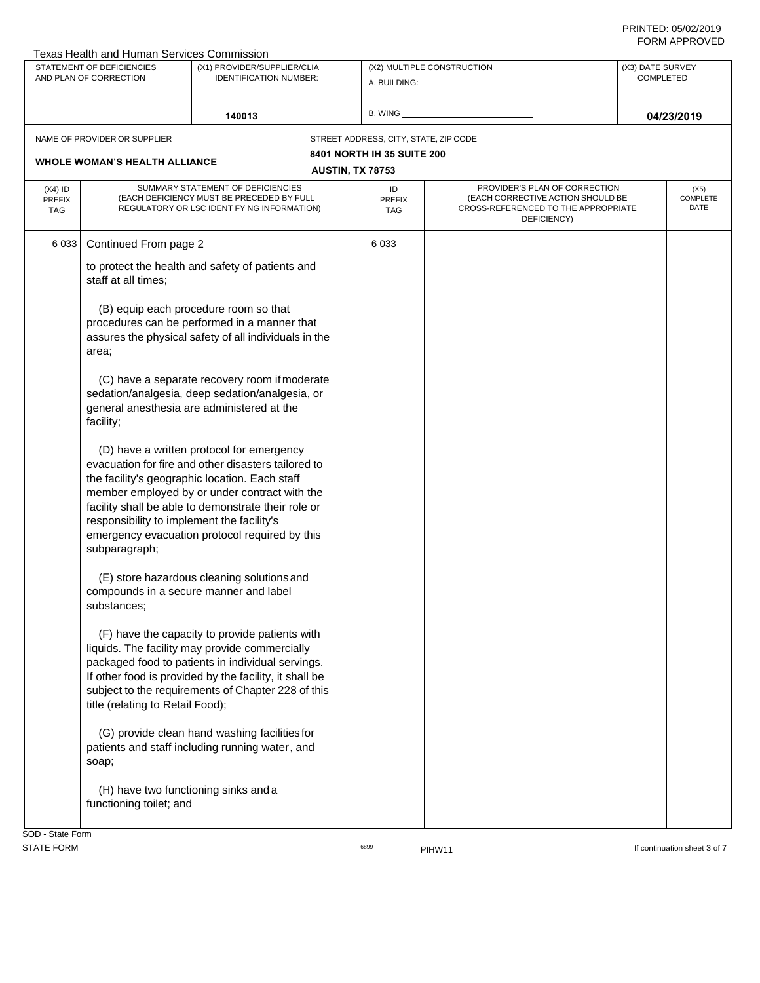|                                                     | Texas Health and Human Services Commission                                                                                                                                                                                                                                                                                                                                  |                                                                                                                                                                                                                                                                       |                                       |                                                                                                                          |                                 |  |
|-----------------------------------------------------|-----------------------------------------------------------------------------------------------------------------------------------------------------------------------------------------------------------------------------------------------------------------------------------------------------------------------------------------------------------------------------|-----------------------------------------------------------------------------------------------------------------------------------------------------------------------------------------------------------------------------------------------------------------------|---------------------------------------|--------------------------------------------------------------------------------------------------------------------------|---------------------------------|--|
| STATEMENT OF DEFICIENCIES<br>AND PLAN OF CORRECTION |                                                                                                                                                                                                                                                                                                                                                                             | (X1) PROVIDER/SUPPLIER/CLIA                                                                                                                                                                                                                                           |                                       | (X2) MULTIPLE CONSTRUCTION                                                                                               | (X3) DATE SURVEY                |  |
|                                                     |                                                                                                                                                                                                                                                                                                                                                                             | <b>IDENTIFICATION NUMBER:</b>                                                                                                                                                                                                                                         |                                       | A. BUILDING: A.                                                                                                          | <b>COMPLETED</b>                |  |
|                                                     |                                                                                                                                                                                                                                                                                                                                                                             |                                                                                                                                                                                                                                                                       |                                       |                                                                                                                          |                                 |  |
|                                                     |                                                                                                                                                                                                                                                                                                                                                                             | 140013                                                                                                                                                                                                                                                                | <b>B. WING</b>                        |                                                                                                                          | 04/23/2019                      |  |
|                                                     | NAME OF PROVIDER OR SUPPLIER                                                                                                                                                                                                                                                                                                                                                |                                                                                                                                                                                                                                                                       | STREET ADDRESS, CITY, STATE, ZIP CODE |                                                                                                                          |                                 |  |
|                                                     |                                                                                                                                                                                                                                                                                                                                                                             |                                                                                                                                                                                                                                                                       | 8401 NORTH IH 35 SUITE 200            |                                                                                                                          |                                 |  |
|                                                     | <b>WHOLE WOMAN'S HEALTH ALLIANCE</b>                                                                                                                                                                                                                                                                                                                                        |                                                                                                                                                                                                                                                                       | <b>AUSTIN, TX 78753</b>               |                                                                                                                          |                                 |  |
|                                                     |                                                                                                                                                                                                                                                                                                                                                                             |                                                                                                                                                                                                                                                                       |                                       |                                                                                                                          |                                 |  |
| $(X4)$ ID<br><b>PREFIX</b><br><b>TAG</b>            |                                                                                                                                                                                                                                                                                                                                                                             | SUMMARY STATEMENT OF DEFICIENCIES<br>(EACH DEFICIENCY MUST BE PRECEDED BY FULL<br>REGULATORY OR LSC IDENT FY NG INFORMATION)                                                                                                                                          | ID<br><b>PREFIX</b><br>TAG            | PROVIDER'S PLAN OF CORRECTION<br>(EACH CORRECTIVE ACTION SHOULD BE<br>CROSS-REFERENCED TO THE APPROPRIATE<br>DEFICIENCY) | (X5)<br>COMPLETE<br><b>DATE</b> |  |
| 6 0 3 3                                             | Continued From page 2                                                                                                                                                                                                                                                                                                                                                       |                                                                                                                                                                                                                                                                       | 6 0 3 3                               |                                                                                                                          |                                 |  |
|                                                     | staff at all times;                                                                                                                                                                                                                                                                                                                                                         | to protect the health and safety of patients and                                                                                                                                                                                                                      |                                       |                                                                                                                          |                                 |  |
|                                                     |                                                                                                                                                                                                                                                                                                                                                                             | (B) equip each procedure room so that                                                                                                                                                                                                                                 |                                       |                                                                                                                          |                                 |  |
|                                                     |                                                                                                                                                                                                                                                                                                                                                                             | procedures can be performed in a manner that<br>assures the physical safety of all individuals in the                                                                                                                                                                 |                                       |                                                                                                                          |                                 |  |
|                                                     | area;                                                                                                                                                                                                                                                                                                                                                                       |                                                                                                                                                                                                                                                                       |                                       |                                                                                                                          |                                 |  |
|                                                     |                                                                                                                                                                                                                                                                                                                                                                             | (C) have a separate recovery room if moderate<br>sedation/analgesia, deep sedation/analgesia, or<br>general anesthesia are administered at the                                                                                                                        |                                       |                                                                                                                          |                                 |  |
|                                                     | facility;                                                                                                                                                                                                                                                                                                                                                                   |                                                                                                                                                                                                                                                                       |                                       |                                                                                                                          |                                 |  |
|                                                     | (D) have a written protocol for emergency<br>evacuation for fire and other disasters tailored to<br>the facility's geographic location. Each staff<br>member employed by or under contract with the<br>facility shall be able to demonstrate their role or<br>responsibility to implement the facility's<br>emergency evacuation protocol required by this<br>subparagraph; |                                                                                                                                                                                                                                                                       |                                       |                                                                                                                          |                                 |  |
|                                                     | compounds in a secure manner and label<br>substances;                                                                                                                                                                                                                                                                                                                       | (E) store hazardous cleaning solutions and                                                                                                                                                                                                                            |                                       |                                                                                                                          |                                 |  |
|                                                     | title (relating to Retail Food);                                                                                                                                                                                                                                                                                                                                            | (F) have the capacity to provide patients with<br>liquids. The facility may provide commercially<br>packaged food to patients in individual servings.<br>If other food is provided by the facility, it shall be<br>subject to the requirements of Chapter 228 of this |                                       |                                                                                                                          |                                 |  |
|                                                     | soap;                                                                                                                                                                                                                                                                                                                                                                       | (G) provide clean hand washing facilities for<br>patients and staff including running water, and                                                                                                                                                                      |                                       |                                                                                                                          |                                 |  |
|                                                     | (H) have two functioning sinks and a<br>functioning toilet; and                                                                                                                                                                                                                                                                                                             |                                                                                                                                                                                                                                                                       |                                       |                                                                                                                          |                                 |  |
| SOD - State Form                                    |                                                                                                                                                                                                                                                                                                                                                                             |                                                                                                                                                                                                                                                                       |                                       |                                                                                                                          |                                 |  |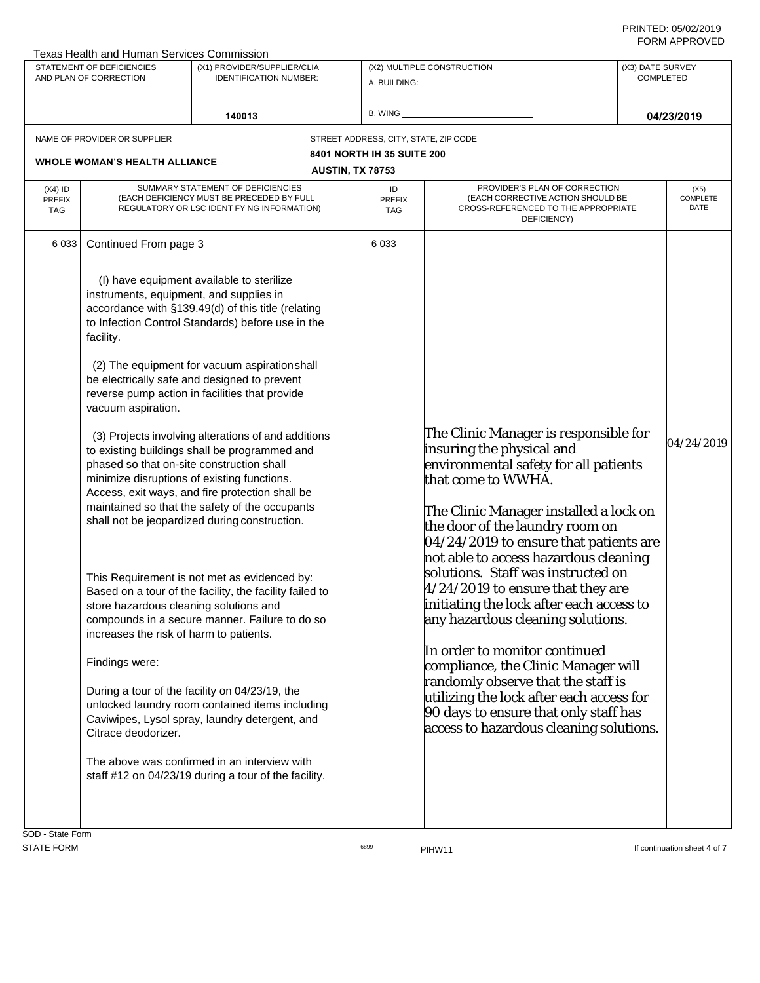|                                   | Texas Health and Human Services Commission                                                                                                                                                                                                                                                                                    |                                                                                                                                                                                                                                                                                                                                                                                                                                                                                                                                                                                                                                                                                                                                                                                                                                                                                           |                                       |                                                                                                                                                                                                                                                                                                                                                                                                                                                                                                                                                                                                                                                                                                            |                                      |                                 |
|-----------------------------------|-------------------------------------------------------------------------------------------------------------------------------------------------------------------------------------------------------------------------------------------------------------------------------------------------------------------------------|-------------------------------------------------------------------------------------------------------------------------------------------------------------------------------------------------------------------------------------------------------------------------------------------------------------------------------------------------------------------------------------------------------------------------------------------------------------------------------------------------------------------------------------------------------------------------------------------------------------------------------------------------------------------------------------------------------------------------------------------------------------------------------------------------------------------------------------------------------------------------------------------|---------------------------------------|------------------------------------------------------------------------------------------------------------------------------------------------------------------------------------------------------------------------------------------------------------------------------------------------------------------------------------------------------------------------------------------------------------------------------------------------------------------------------------------------------------------------------------------------------------------------------------------------------------------------------------------------------------------------------------------------------------|--------------------------------------|---------------------------------|
|                                   | STATEMENT OF DEFICIENCIES<br>AND PLAN OF CORRECTION                                                                                                                                                                                                                                                                           | (X1) PROVIDER/SUPPLIER/CLIA<br><b>IDENTIFICATION NUMBER:</b>                                                                                                                                                                                                                                                                                                                                                                                                                                                                                                                                                                                                                                                                                                                                                                                                                              |                                       | (X2) MULTIPLE CONSTRUCTION<br>A. BUILDING: <u>_____________________</u>                                                                                                                                                                                                                                                                                                                                                                                                                                                                                                                                                                                                                                    | (X3) DATE SURVEY<br><b>COMPLETED</b> |                                 |
|                                   |                                                                                                                                                                                                                                                                                                                               | 140013                                                                                                                                                                                                                                                                                                                                                                                                                                                                                                                                                                                                                                                                                                                                                                                                                                                                                    | <b>B. WING</b>                        |                                                                                                                                                                                                                                                                                                                                                                                                                                                                                                                                                                                                                                                                                                            |                                      | 04/23/2019                      |
|                                   | NAME OF PROVIDER OR SUPPLIER                                                                                                                                                                                                                                                                                                  |                                                                                                                                                                                                                                                                                                                                                                                                                                                                                                                                                                                                                                                                                                                                                                                                                                                                                           | STREET ADDRESS, CITY, STATE, ZIP CODE |                                                                                                                                                                                                                                                                                                                                                                                                                                                                                                                                                                                                                                                                                                            |                                      |                                 |
|                                   |                                                                                                                                                                                                                                                                                                                               |                                                                                                                                                                                                                                                                                                                                                                                                                                                                                                                                                                                                                                                                                                                                                                                                                                                                                           | <b>8401 NORTH IH 35 SUITE 200</b>     |                                                                                                                                                                                                                                                                                                                                                                                                                                                                                                                                                                                                                                                                                                            |                                      |                                 |
|                                   | <b>WHOLE WOMAN'S HEALTH ALLIANCE</b>                                                                                                                                                                                                                                                                                          | <b>AUSTIN, TX 78753</b>                                                                                                                                                                                                                                                                                                                                                                                                                                                                                                                                                                                                                                                                                                                                                                                                                                                                   |                                       |                                                                                                                                                                                                                                                                                                                                                                                                                                                                                                                                                                                                                                                                                                            |                                      |                                 |
| $(X4)$ ID<br>PREFIX<br><b>TAG</b> |                                                                                                                                                                                                                                                                                                                               | SUMMARY STATEMENT OF DEFICIENCIES<br>(EACH DEFICIENCY MUST BE PRECEDED BY FULL<br>REGULATORY OR LSC IDENT FY NG INFORMATION)                                                                                                                                                                                                                                                                                                                                                                                                                                                                                                                                                                                                                                                                                                                                                              | ID<br>PREFIX<br>TAG                   | PROVIDER'S PLAN OF CORRECTION<br>(EACH CORRECTIVE ACTION SHOULD BE<br>CROSS-REFERENCED TO THE APPROPRIATE<br>DEFICIENCY)                                                                                                                                                                                                                                                                                                                                                                                                                                                                                                                                                                                   |                                      | (X5)<br><b>COMPLETE</b><br>DATE |
| 6 0 3 3                           | Continued From page 3<br>instruments, equipment, and supplies in<br>facility.<br>vacuum aspiration.<br>phased so that on-site construction shall<br>minimize disruptions of existing functions.<br>store hazardous cleaning solutions and<br>increases the risk of harm to patients.<br>Findings were:<br>Citrace deodorizer. | (I) have equipment available to sterilize<br>accordance with §139.49(d) of this title (relating<br>to Infection Control Standards) before use in the<br>(2) The equipment for vacuum aspiration shall<br>be electrically safe and designed to prevent<br>reverse pump action in facilities that provide<br>(3) Projects involving alterations of and additions<br>to existing buildings shall be programmed and<br>Access, exit ways, and fire protection shall be<br>maintained so that the safety of the occupants<br>shall not be jeopardized during construction.<br>This Requirement is not met as evidenced by:<br>Based on a tour of the facility, the facility failed to<br>compounds in a secure manner. Failure to do so<br>During a tour of the facility on 04/23/19, the<br>unlocked laundry room contained items including<br>Caviwipes, Lysol spray, laundry detergent, and | 6 0 3 3                               | The Clinic Manager is responsible for<br>insuring the physical and<br>environmental safety for all patients<br>that come to WWHA.<br>The Clinic Manager installed a lock on<br>the door of the laundry room on<br>04/24/2019 to ensure that patients are<br>not able to access hazardous cleaning<br>solutions. Staff was instructed on<br>4/24/2019 to ensure that they are<br>initiating the lock after each access to<br>any hazardous cleaning solutions.<br>In order to monitor continued<br>compliance, the Clinic Manager will<br>andomly observe that the staff is<br>utilizing the lock after each access for<br>90 days to ensure that only staff has<br>access to hazardous cleaning solutions. |                                      | 04/24/2019                      |
| <b>SOD - State Form</b>           |                                                                                                                                                                                                                                                                                                                               | The above was confirmed in an interview with<br>staff #12 on 04/23/19 during a tour of the facility.                                                                                                                                                                                                                                                                                                                                                                                                                                                                                                                                                                                                                                                                                                                                                                                      |                                       |                                                                                                                                                                                                                                                                                                                                                                                                                                                                                                                                                                                                                                                                                                            |                                      |                                 |

SOD - State Form

STATE FORM **EXAMPLE 19** THE STATE FORM **6899 PIHW11 EXAMPLE 19 THE STATE FORM If continuation sheet 4 of 7**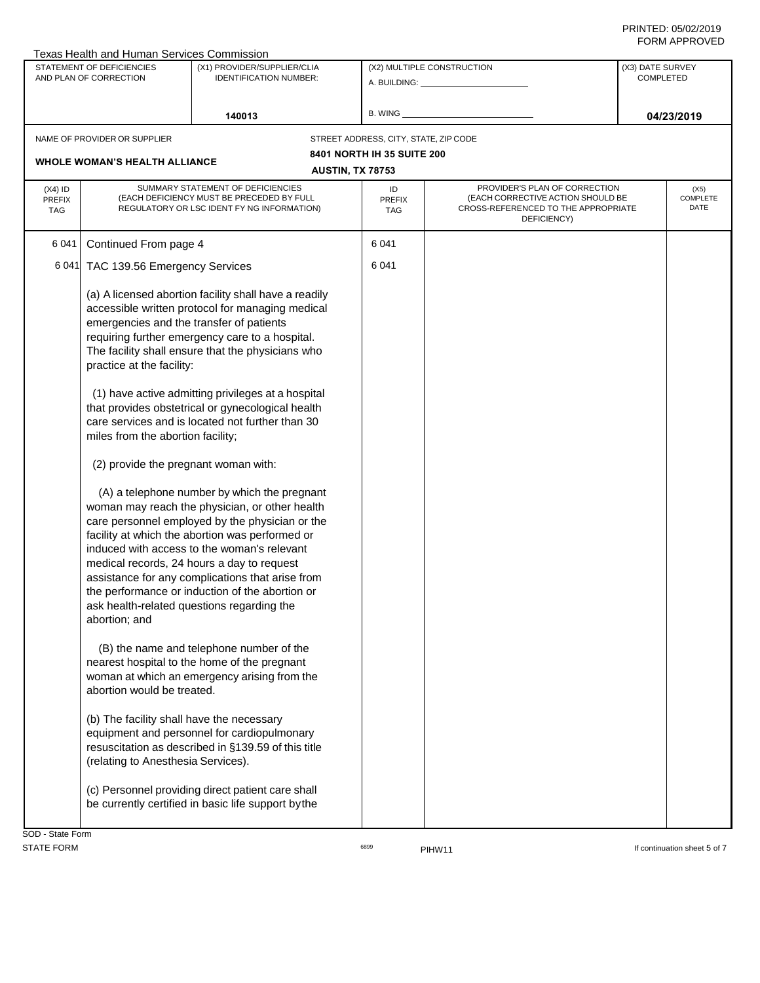| Texas Health and Human Services Commission<br>STATEMENT OF DEFICIENCIES |                                                                                                                                                                     | (X1) PROVIDER/SUPPLIER/CLIA                                                                                                                                                                                                                                                                                                                                                                                                                                                                                                                                                                                                                                                                                                                                                                                                                                                            | (X2) MULTIPLE CONSTRUCTION                                          | (X3) DATE SURVEY                                                                        |  |                  |
|-------------------------------------------------------------------------|---------------------------------------------------------------------------------------------------------------------------------------------------------------------|----------------------------------------------------------------------------------------------------------------------------------------------------------------------------------------------------------------------------------------------------------------------------------------------------------------------------------------------------------------------------------------------------------------------------------------------------------------------------------------------------------------------------------------------------------------------------------------------------------------------------------------------------------------------------------------------------------------------------------------------------------------------------------------------------------------------------------------------------------------------------------------|---------------------------------------------------------------------|-----------------------------------------------------------------------------------------|--|------------------|
| AND PLAN OF CORRECTION                                                  |                                                                                                                                                                     | <b>IDENTIFICATION NUMBER:</b>                                                                                                                                                                                                                                                                                                                                                                                                                                                                                                                                                                                                                                                                                                                                                                                                                                                          | A. BUILDING: A. BUILDING:                                           | <b>COMPLETED</b>                                                                        |  |                  |
|                                                                         |                                                                                                                                                                     |                                                                                                                                                                                                                                                                                                                                                                                                                                                                                                                                                                                                                                                                                                                                                                                                                                                                                        |                                                                     |                                                                                         |  |                  |
|                                                                         |                                                                                                                                                                     | 140013                                                                                                                                                                                                                                                                                                                                                                                                                                                                                                                                                                                                                                                                                                                                                                                                                                                                                 | B. WING                                                             |                                                                                         |  | 04/23/2019       |
|                                                                         |                                                                                                                                                                     |                                                                                                                                                                                                                                                                                                                                                                                                                                                                                                                                                                                                                                                                                                                                                                                                                                                                                        |                                                                     |                                                                                         |  |                  |
|                                                                         | NAME OF PROVIDER OR SUPPLIER                                                                                                                                        |                                                                                                                                                                                                                                                                                                                                                                                                                                                                                                                                                                                                                                                                                                                                                                                                                                                                                        | STREET ADDRESS, CITY, STATE, ZIP CODE<br>8401 NORTH IH 35 SUITE 200 |                                                                                         |  |                  |
|                                                                         | <b>WHOLE WOMAN'S HEALTH ALLIANCE</b>                                                                                                                                |                                                                                                                                                                                                                                                                                                                                                                                                                                                                                                                                                                                                                                                                                                                                                                                                                                                                                        | <b>AUSTIN, TX 78753</b>                                             |                                                                                         |  |                  |
| $(X4)$ ID                                                               |                                                                                                                                                                     | SUMMARY STATEMENT OF DEFICIENCIES                                                                                                                                                                                                                                                                                                                                                                                                                                                                                                                                                                                                                                                                                                                                                                                                                                                      | ID                                                                  | PROVIDER'S PLAN OF CORRECTION                                                           |  | (X5)             |
| PREFIX<br><b>TAG</b>                                                    |                                                                                                                                                                     | (EACH DEFICIENCY MUST BE PRECEDED BY FULL<br>REGULATORY OR LSC IDENT FY NG INFORMATION)                                                                                                                                                                                                                                                                                                                                                                                                                                                                                                                                                                                                                                                                                                                                                                                                | PREFIX<br><b>TAG</b>                                                | (EACH CORRECTIVE ACTION SHOULD BE<br>CROSS-REFERENCED TO THE APPROPRIATE<br>DEFICIENCY) |  | COMPLETE<br>DATE |
| 6041                                                                    | Continued From page 4                                                                                                                                               |                                                                                                                                                                                                                                                                                                                                                                                                                                                                                                                                                                                                                                                                                                                                                                                                                                                                                        | 6 0 4 1                                                             |                                                                                         |  |                  |
| 6 0 4 1                                                                 | TAC 139.56 Emergency Services                                                                                                                                       |                                                                                                                                                                                                                                                                                                                                                                                                                                                                                                                                                                                                                                                                                                                                                                                                                                                                                        | 6 0 4 1                                                             |                                                                                         |  |                  |
|                                                                         | emergencies and the transfer of patients<br>practice at the facility:<br>miles from the abortion facility;<br>(2) provide the pregnant woman with:<br>abortion; and | (a) A licensed abortion facility shall have a readily<br>accessible written protocol for managing medical<br>requiring further emergency care to a hospital.<br>The facility shall ensure that the physicians who<br>(1) have active admitting privileges at a hospital<br>that provides obstetrical or gynecological health<br>care services and is located not further than 30<br>(A) a telephone number by which the pregnant<br>woman may reach the physician, or other health<br>care personnel employed by the physician or the<br>facility at which the abortion was performed or<br>induced with access to the woman's relevant<br>medical records, 24 hours a day to request<br>assistance for any complications that arise from<br>the performance or induction of the abortion or<br>ask health-related questions regarding the<br>(B) the name and telephone number of the |                                                                     |                                                                                         |  |                  |
|                                                                         | abortion would be treated.                                                                                                                                          | nearest hospital to the home of the pregnant<br>woman at which an emergency arising from the                                                                                                                                                                                                                                                                                                                                                                                                                                                                                                                                                                                                                                                                                                                                                                                           |                                                                     |                                                                                         |  |                  |
|                                                                         | (b) The facility shall have the necessary<br>(relating to Anesthesia Services).                                                                                     | equipment and personnel for cardiopulmonary<br>resuscitation as described in §139.59 of this title                                                                                                                                                                                                                                                                                                                                                                                                                                                                                                                                                                                                                                                                                                                                                                                     |                                                                     |                                                                                         |  |                  |
|                                                                         |                                                                                                                                                                     | (c) Personnel providing direct patient care shall<br>be currently certified in basic life support by the                                                                                                                                                                                                                                                                                                                                                                                                                                                                                                                                                                                                                                                                                                                                                                               |                                                                     |                                                                                         |  |                  |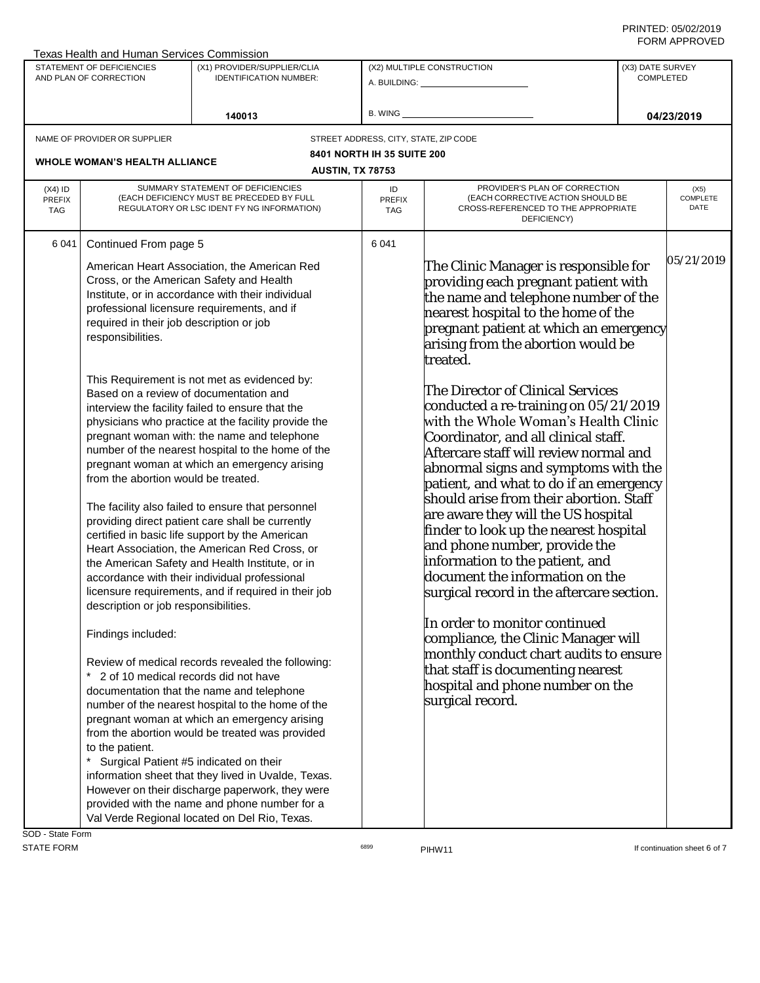| Texas Health and Human Services Commission          |                                                                                                           |                                                                                                                                                                                                                                                                                                                                                                                                                                                                                                              |                                        |                                                                                                                                                                                                                                                                                                                                    |                                      |                          |
|-----------------------------------------------------|-----------------------------------------------------------------------------------------------------------|--------------------------------------------------------------------------------------------------------------------------------------------------------------------------------------------------------------------------------------------------------------------------------------------------------------------------------------------------------------------------------------------------------------------------------------------------------------------------------------------------------------|----------------------------------------|------------------------------------------------------------------------------------------------------------------------------------------------------------------------------------------------------------------------------------------------------------------------------------------------------------------------------------|--------------------------------------|--------------------------|
| STATEMENT OF DEFICIENCIES<br>AND PLAN OF CORRECTION |                                                                                                           | (X1) PROVIDER/SUPPLIER/CLIA                                                                                                                                                                                                                                                                                                                                                                                                                                                                                  |                                        | (X2) MULTIPLE CONSTRUCTION                                                                                                                                                                                                                                                                                                         | (X3) DATE SURVEY<br><b>COMPLETED</b> |                          |
|                                                     |                                                                                                           | <b>IDENTIFICATION NUMBER:</b>                                                                                                                                                                                                                                                                                                                                                                                                                                                                                | A. BUILDING: <u>__________________</u> |                                                                                                                                                                                                                                                                                                                                    |                                      |                          |
|                                                     |                                                                                                           |                                                                                                                                                                                                                                                                                                                                                                                                                                                                                                              |                                        |                                                                                                                                                                                                                                                                                                                                    |                                      |                          |
|                                                     |                                                                                                           | 140013                                                                                                                                                                                                                                                                                                                                                                                                                                                                                                       | B. WING                                |                                                                                                                                                                                                                                                                                                                                    |                                      | 04/23/2019               |
|                                                     | NAME OF PROVIDER OR SUPPLIER                                                                              |                                                                                                                                                                                                                                                                                                                                                                                                                                                                                                              | STREET ADDRESS, CITY, STATE, ZIP CODE  |                                                                                                                                                                                                                                                                                                                                    |                                      |                          |
|                                                     |                                                                                                           |                                                                                                                                                                                                                                                                                                                                                                                                                                                                                                              | <b>8401 NORTH IH 35 SUITE 200</b>      |                                                                                                                                                                                                                                                                                                                                    |                                      |                          |
|                                                     | <b>WHOLE WOMAN'S HEALTH ALLIANCE</b>                                                                      | <b>AUSTIN, TX 78753</b>                                                                                                                                                                                                                                                                                                                                                                                                                                                                                      |                                        |                                                                                                                                                                                                                                                                                                                                    |                                      |                          |
| $(X4)$ ID<br><b>PREFIX</b><br><b>TAG</b>            |                                                                                                           | SUMMARY STATEMENT OF DEFICIENCIES<br>(EACH DEFICIENCY MUST BE PRECEDED BY FULL<br>REGULATORY OR LSC IDENT FY NG INFORMATION)                                                                                                                                                                                                                                                                                                                                                                                 | ID<br>PREFIX<br>TAG                    | PROVIDER'S PLAN OF CORRECTION<br>(EACH CORRECTIVE ACTION SHOULD BE<br>CROSS-REFERENCED TO THE APPROPRIATE<br>DEFICIENCY)                                                                                                                                                                                                           |                                      | (X5)<br>COMPLETE<br>DATE |
| 6041                                                | Continued From page 5                                                                                     |                                                                                                                                                                                                                                                                                                                                                                                                                                                                                                              | 6 0 4 1                                |                                                                                                                                                                                                                                                                                                                                    |                                      |                          |
|                                                     | Cross, or the American Safety and Health<br>required in their job description or job<br>responsibilities. | American Heart Association, the American Red<br>Institute, or in accordance with their individual<br>professional licensure requirements, and if<br>This Requirement is not met as evidenced by:                                                                                                                                                                                                                                                                                                             |                                        | The Clinic Manager is responsible for<br>providing each pregnant patient with<br>the name and telephone number of the<br>nearest hospital to the home of the<br>pregnant patient at which an emergency<br>arising from the abortion would be<br>treated.                                                                           |                                      | 05/21/2019               |
|                                                     | Based on a review of documentation and<br>from the abortion would be treated.                             | interview the facility failed to ensure that the<br>physicians who practice at the facility provide the<br>pregnant woman with: the name and telephone<br>number of the nearest hospital to the home of the<br>pregnant woman at which an emergency arising                                                                                                                                                                                                                                                  |                                        | The Director of Clinical Services<br>conducted a re-training on 05/21/2019<br>with the Whole Woman's Health Clinic<br>Coordinator, and all clinical staff.<br>Aftercare staff will review normal and<br>abnormal signs and symptoms with the<br>patient, and what to do if an emergency<br>should arise from their abortion. Staff |                                      |                          |
|                                                     | description or job responsibilities.                                                                      | The facility also failed to ensure that personnel<br>providing direct patient care shall be currently<br>certified in basic life support by the American<br>Heart Association, the American Red Cross, or<br>the American Safety and Health Institute, or in<br>accordance with their individual professional<br>licensure requirements, and if required in their job                                                                                                                                        |                                        | are aware they will the US hospital<br>finder to look up the nearest hospital<br>and phone number, provide the<br>information to the patient, and<br>document the information on the<br>surgical record in the aftercare section.                                                                                                  |                                      |                          |
|                                                     | Findings included:<br>2 of 10 medical records did not have<br>to the patient.                             | Review of medical records revealed the following:<br>documentation that the name and telephone<br>number of the nearest hospital to the home of the<br>pregnant woman at which an emergency arising<br>from the abortion would be treated was provided<br>Surgical Patient #5 indicated on their<br>information sheet that they lived in Uvalde, Texas.<br>However on their discharge paperwork, they were<br>provided with the name and phone number for a<br>Val Verde Regional located on Del Rio, Texas. |                                        | In order to monitor continued<br>compliance, the Clinic Manager will<br>monthly conduct chart audits to ensure<br>that staff is documenting nearest<br>hospital and phone number on the<br>surgical record.                                                                                                                        |                                      |                          |

SOD - State Form